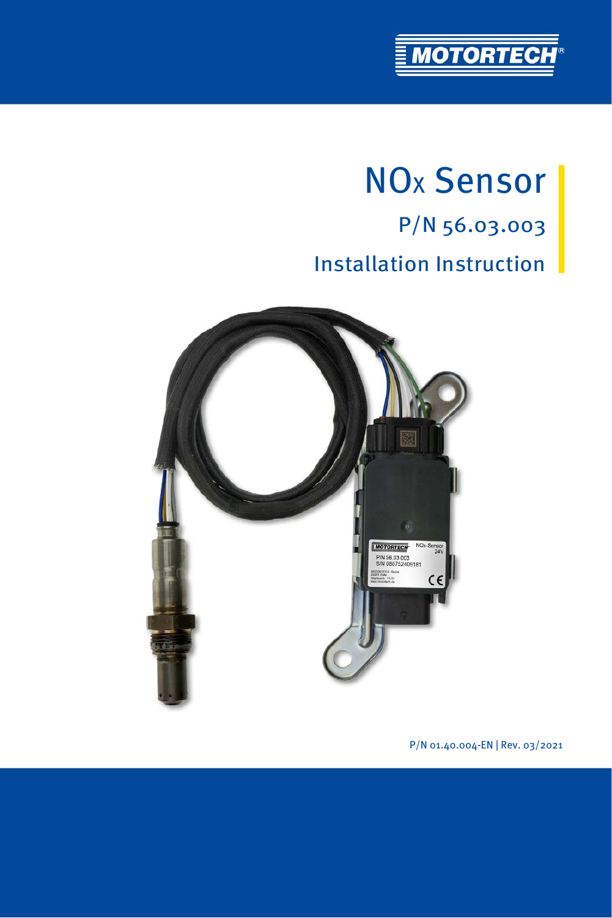

# NOX Sensor

# P/N 56.03.003 Installation Instruction



P/N 01.40.004-EN | Rev. 03/2021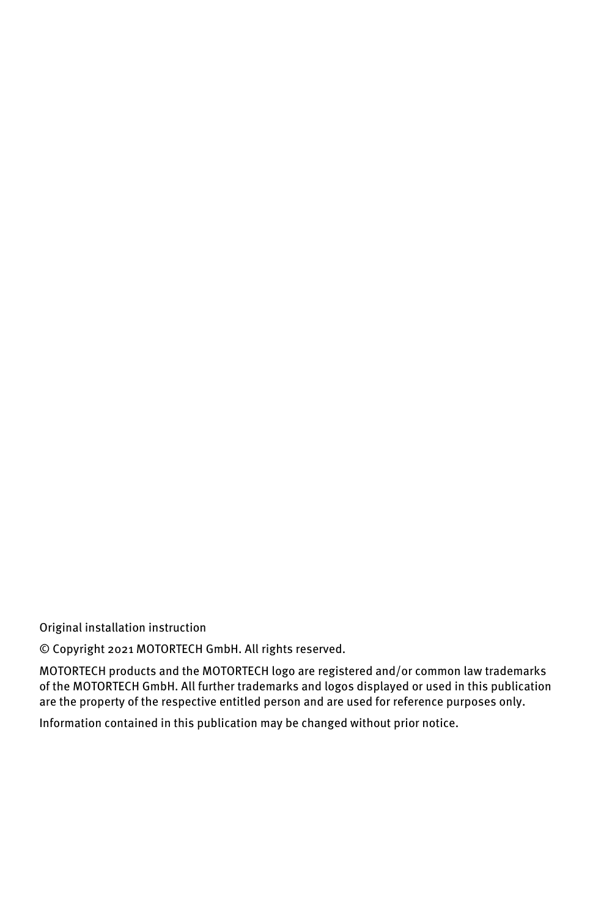Original installation instruction

© Copyright 2021 MOTORTECH GmbH. All rights reserved.

MOTORTECH products and the MOTORTECH logo are registered and/or common law trademarks of the MOTORTECH GmbH. All further trademarks and logos displayed or used in this publication are the property of the respective entitled person and are used for reference purposes only.

Information contained in this publication may be changed without prior notice.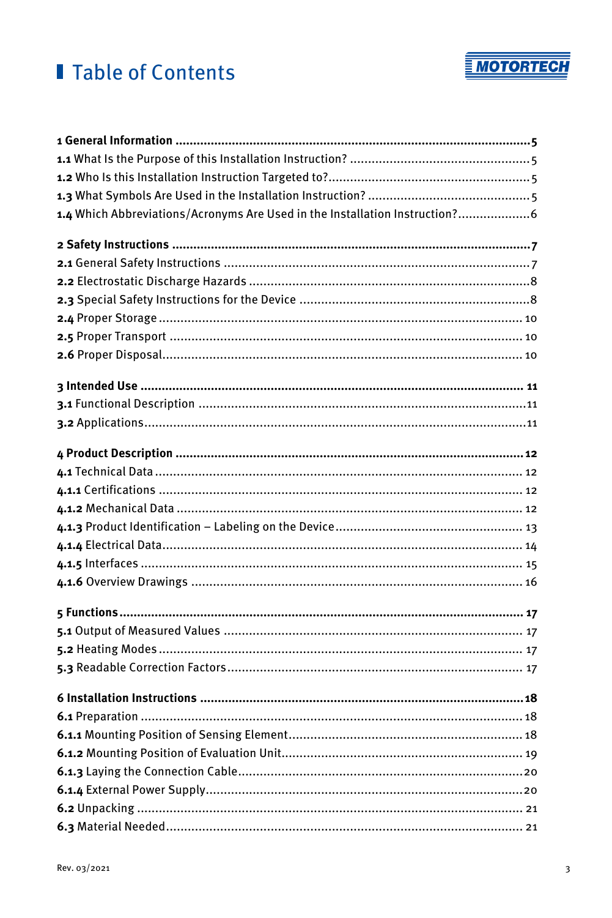# I Table of Contents

|  |  | <b>MOTORTECH</b> |
|--|--|------------------|
|  |  |                  |
|  |  |                  |
|  |  |                  |

| 1.4 Which Abbreviations/Acronyms Are Used in the Installation Instruction?6 |
|-----------------------------------------------------------------------------|
|                                                                             |
|                                                                             |
|                                                                             |
|                                                                             |
|                                                                             |
|                                                                             |
|                                                                             |
|                                                                             |
|                                                                             |
|                                                                             |
|                                                                             |
|                                                                             |
|                                                                             |
|                                                                             |
|                                                                             |
|                                                                             |
|                                                                             |
|                                                                             |
|                                                                             |
|                                                                             |
|                                                                             |
|                                                                             |
|                                                                             |
|                                                                             |
|                                                                             |
|                                                                             |
|                                                                             |
|                                                                             |
|                                                                             |
|                                                                             |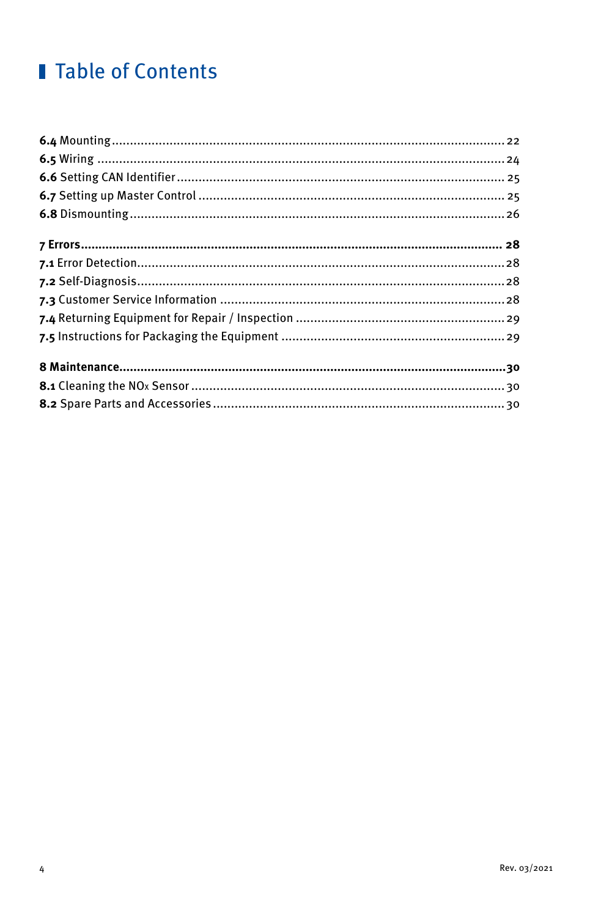# **■ Table of Contents**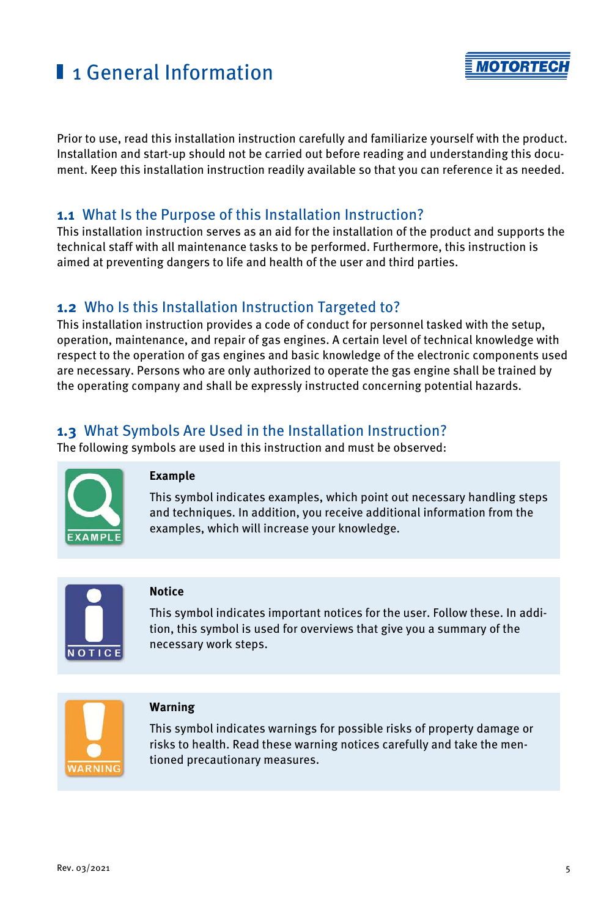# <span id="page-4-0"></span>**1** 1 General Information



Prior to use, read this installation instruction carefully and familiarize yourself with the product. Installation and start-up should not be carried out before reading and understanding this document. Keep this installation instruction readily available so that you can reference it as needed.

### <span id="page-4-1"></span>**1.1** What Is the Purpose of this Installation Instruction?

This installation instruction serves as an aid for the installation of the product and supports the technical staff with all maintenance tasks to be performed. Furthermore, this instruction is aimed at preventing dangers to life and health of the user and third parties.

### <span id="page-4-2"></span>**1.2** Who Is this Installation Instruction Targeted to?

This installation instruction provides a code of conduct for personnel tasked with the setup, operation, maintenance, and repair of gas engines. A certain level of technical knowledge with respect to the operation of gas engines and basic knowledge of the electronic components used are necessary. Persons who are only authorized to operate the gas engine shall be trained by the operating company and shall be expressly instructed concerning potential hazards.

# <span id="page-4-3"></span>**1.3** What Symbols Are Used in the Installation Instruction?

The following symbols are used in this instruction and must be observed:



### **Example**

This symbol indicates examples, which point out necessary handling steps and techniques. In addition, you receive additional information from the examples, which will increase your knowledge.



### **Notice**

This symbol indicates important notices for the user. Follow these. In addition, this symbol is used for overviews that give you a summary of the necessary work steps.



#### **Warning**

This symbol indicates warnings for possible risks of property damage or risks to health. Read these warning notices carefully and take the mentioned precautionary measures.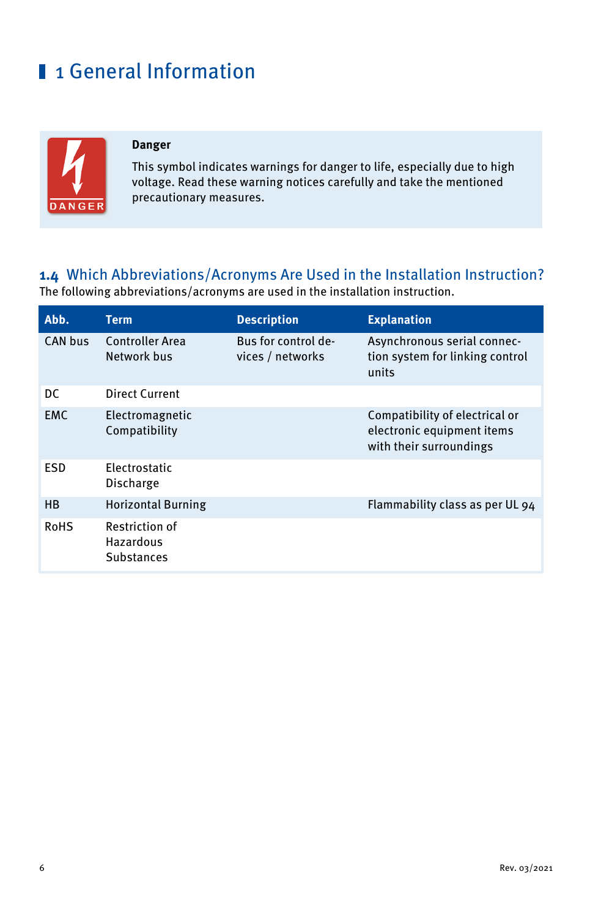# **1** 1 General Information



#### **Danger**

This symbol indicates warnings for danger to life, especially due to high voltage. Read these warning notices carefully and take the mentioned precautionary measures.

# <span id="page-5-0"></span>**1.4** Which Abbreviations/Acronyms Are Used in the Installation Instruction?

The following abbreviations/acronyms are used in the installation instruction.

| Abb.        | <b>Term</b>                                      | <b>Description</b>                      | <b>Explanation</b>                                                                      |
|-------------|--------------------------------------------------|-----------------------------------------|-----------------------------------------------------------------------------------------|
| CAN bus     | Controller Area<br>Network bus                   | Bus for control de-<br>vices / networks | Asynchronous serial connec-<br>tion system for linking control<br>units                 |
| DC.         | Direct Current                                   |                                         |                                                                                         |
| <b>EMC</b>  | Electromagnetic<br>Compatibility                 |                                         | Compatibility of electrical or<br>electronic equipment items<br>with their surroundings |
| ESD         | <b>Flectrostatic</b><br><b>Discharge</b>         |                                         |                                                                                         |
| HB          | <b>Horizontal Burning</b>                        |                                         | Flammability class as per UL 94                                                         |
| <b>RoHS</b> | Restriction of<br>Hazardous<br><b>Substances</b> |                                         |                                                                                         |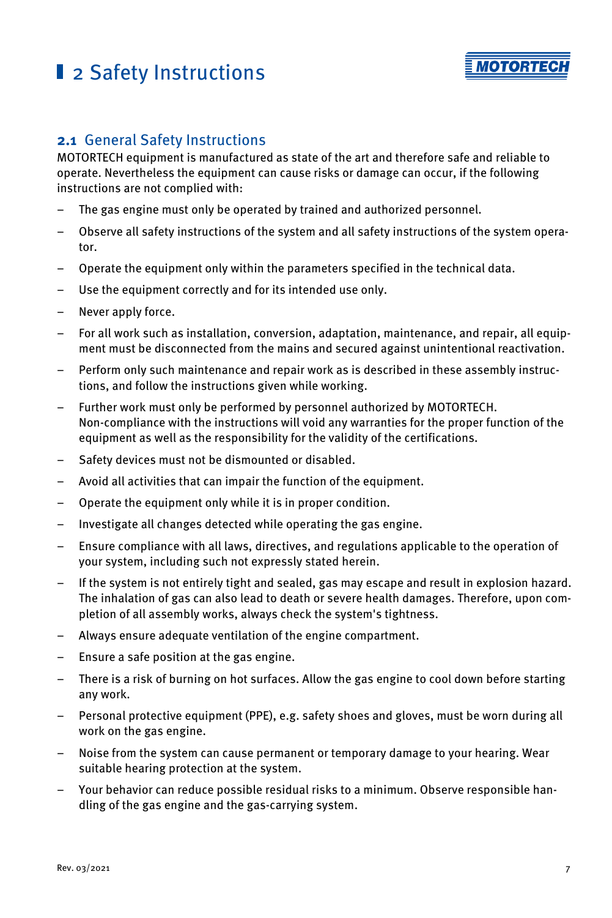### <span id="page-6-1"></span><span id="page-6-0"></span>**2.1** General Safety Instructions

MOTORTECH equipment is manufactured as state of the art and therefore safe and reliable to operate. Nevertheless the equipment can cause risks or damage can occur, if the following instructions are not complied with:

- The gas engine must only be operated by trained and authorized personnel.
- Observe all safety instructions of the system and all safety instructions of the system operator.
- Operate the equipment only within the parameters specified in the technical data.
- Use the equipment correctly and for its intended use only.
- Never apply force.
- For all work such as installation, conversion, adaptation, maintenance, and repair, all equipment must be disconnected from the mains and secured against unintentional reactivation.
- Perform only such maintenance and repair work as is described in these assembly instructions, and follow the instructions given while working.
- Further work must only be performed by personnel authorized by MOTORTECH. Non-compliance with the instructions will void any warranties for the proper function of the equipment as well as the responsibility for the validity of the certifications.
- Safety devices must not be dismounted or disabled.
- Avoid all activities that can impair the function of the equipment.
- Operate the equipment only while it is in proper condition.
- Investigate all changes detected while operating the gas engine.
- Ensure compliance with all laws, directives, and regulations applicable to the operation of your system, including such not expressly stated herein.
- If the system is not entirely tight and sealed, gas may escape and result in explosion hazard. The inhalation of gas can also lead to death or severe health damages. Therefore, upon completion of all assembly works, always check the system's tightness.
- Always ensure adequate ventilation of the engine compartment.
- Ensure a safe position at the gas engine.
- There is a risk of burning on hot surfaces. Allow the gas engine to cool down before starting any work.
- Personal protective equipment (PPE), e.g. safety shoes and gloves, must be worn during all work on the gas engine.
- Noise from the system can cause permanent or temporary damage to your hearing. Wear suitable hearing protection at the system.
- Your behavior can reduce possible residual risks to a minimum. Observe responsible handling of the gas engine and the gas-carrying system.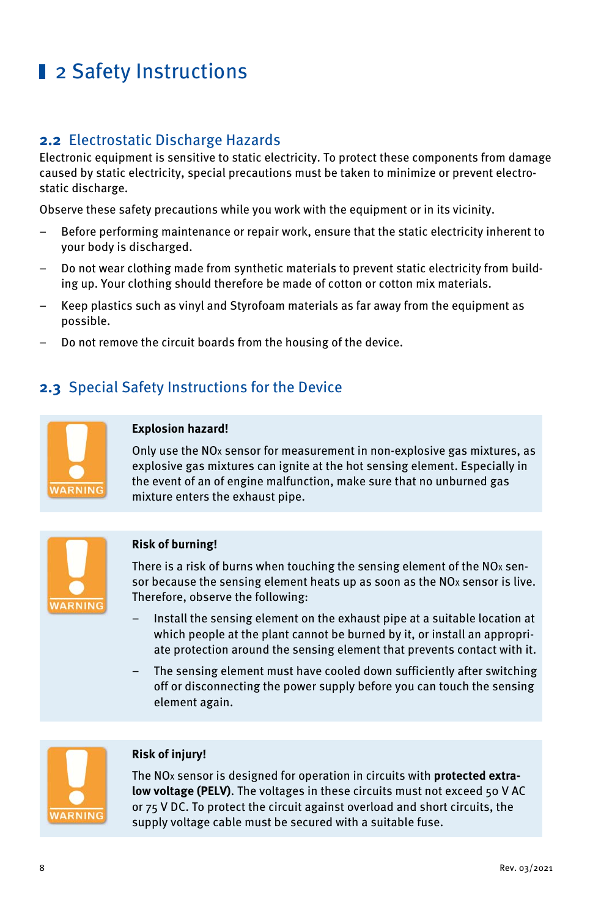### <span id="page-7-0"></span>**2.2** Electrostatic Discharge Hazards

Electronic equipment is sensitive to static electricity. To protect these components from damage caused by static electricity, special precautions must be taken to minimize or prevent electrostatic discharge.

Observe these safety precautions while you work with the equipment or in its vicinity.

- Before performing maintenance or repair work, ensure that the static electricity inherent to your body is discharged.
- Do not wear clothing made from synthetic materials to prevent static electricity from building up. Your clothing should therefore be made of cotton or cotton mix materials.
- Keep plastics such as vinyl and Styrofoam materials as far away from the equipment as possible.
- Do not remove the circuit boards from the housing of the device.

### <span id="page-7-1"></span>**2.3** Special Safety Instructions for the Device



#### **Explosion hazard!**

Only use the NOX sensor for measurement in non-explosive gas mixtures, as explosive gas mixtures can ignite at the hot sensing element. Especially in the event of an of engine malfunction, make sure that no unburned gas mixture enters the exhaust pipe.



#### **Risk of burning!**

There is a risk of burns when touching the sensing element of the NO<sub>x</sub> sensor because the sensing element heats up as soon as the NO<sub>x</sub> sensor is live. Therefore, observe the following:

- Install the sensing element on the exhaust pipe at a suitable location at which people at the plant cannot be burned by it, or install an appropriate protection around the sensing element that prevents contact with it.
- The sensing element must have cooled down sufficiently after switching off or disconnecting the power supply before you can touch the sensing element again.



#### **Risk of injury!**

The NOX sensor is designed for operation in circuits with **protected extralow voltage (PELV)**. The voltages in these circuits must not exceed 50 V AC or 75 V DC. To protect the circuit against overload and short circuits, the supply voltage cable must be secured with a suitable fuse.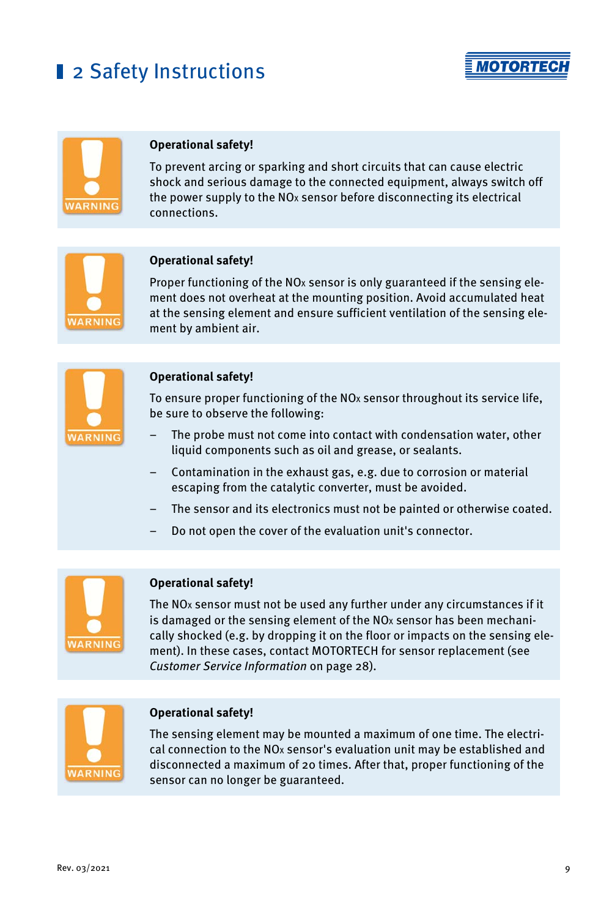



#### **Operational safety!**

To prevent arcing or sparking and short circuits that can cause electric shock and serious damage to the connected equipment, always switch off the power supply to the NO<sub>x</sub> sensor before disconnecting its electrical connections.



#### **Operational safety!**

Proper functioning of the NO<sub>x</sub> sensor is only guaranteed if the sensing element does not overheat at the mounting position. Avoid accumulated heat at the sensing element and ensure sufficient ventilation of the sensing element by ambient air.



#### **Operational safety!**

To ensure proper functioning of the NO<sub>x</sub> sensor throughout its service life, be sure to observe the following:

- The probe must not come into contact with condensation water, other liquid components such as oil and grease, or sealants.
- Contamination in the exhaust gas, e.g. due to corrosion or material escaping from the catalytic converter, must be avoided.
- The sensor and its electronics must not be painted or otherwise coated.
- Do not open the cover of the evaluation unit's connector.



#### **Operational safety!**

The NO<sub>x</sub> sensor must not be used any further under any circumstances if it is damaged or the sensing element of the NO<sub>x</sub> sensor has been mechanically shocked (e.g. by dropping it on the floor or impacts on the sensing element). In these cases, contact MOTORTECH for sensor replacement (see Customer Service Information on pag[e 28\)](#page-27-3).



#### **Operational safety!**

The sensing element may be mounted a maximum of one time. The electrical connection to the NOX sensor's evaluation unit may be established and disconnected a maximum of 20 times. After that, proper functioning of the sensor can no longer be guaranteed.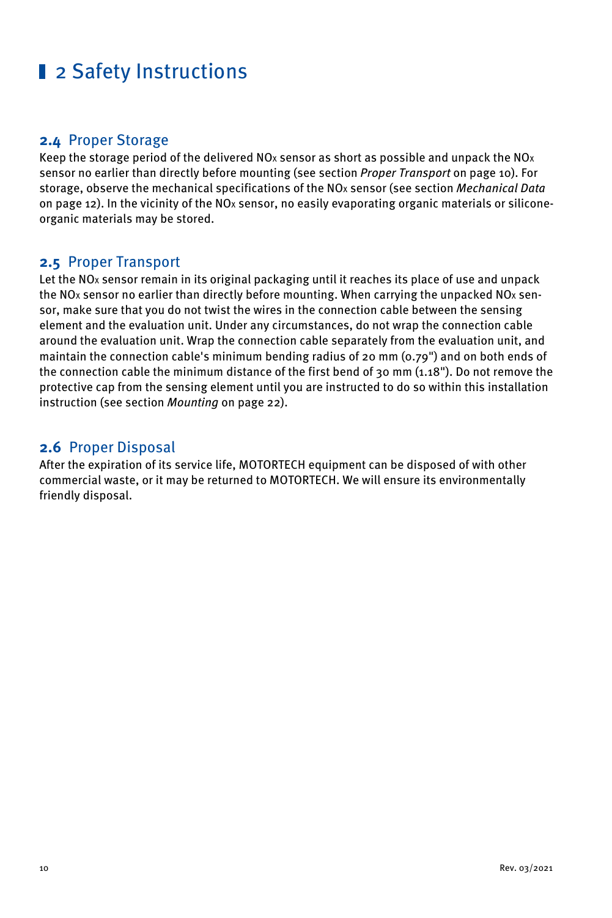### <span id="page-9-0"></span>**2.4** Proper Storage

Keep the storage period of the delivered NO<sub>x</sub> sensor as short as possible and unpack the NO<sub>x</sub> sensor no earlier than directly before mounting (see section Proper Transport on pag[e 10\)](#page-9-1). For storage, observe the mechanical specifications of the NO<sub>x</sub> sensor (see section *Mechanical Data* on pag[e 12\)](#page-11-3). In the vicinity of the NO<sub>x</sub> sensor, no easily evaporating organic materials or siliconeorganic materials may be stored.

### <span id="page-9-1"></span>**2.5** Proper Transport

Let the NO<sub>x</sub> sensor remain in its original packaging until it reaches its place of use and unpack the NO<sub>x</sub> sensor no earlier than directly before mounting. When carrying the unpacked NO<sub>x</sub> sensor, make sure that you do not twist the wires in the connection cable between the sensing element and the evaluation unit. Under any circumstances, do not wrap the connection cable around the evaluation unit. Wrap the connection cable separately from the evaluation unit, and maintain the connection cable's minimum bending radius of 20 mm (0.79") and on both ends of the connection cable the minimum distance of the first bend of 30 mm (1.18"). Do not remove the protective cap from the sensing element until you are instructed to do so within this installation instruction (see section Mounting on pag[e 22\)](#page-21-0).

### <span id="page-9-2"></span>**2.6** Proper Disposal

After the expiration of its service life, MOTORTECH equipment can be disposed of with other commercial waste, or it may be returned to MOTORTECH. We will ensure its environmentally friendly disposal.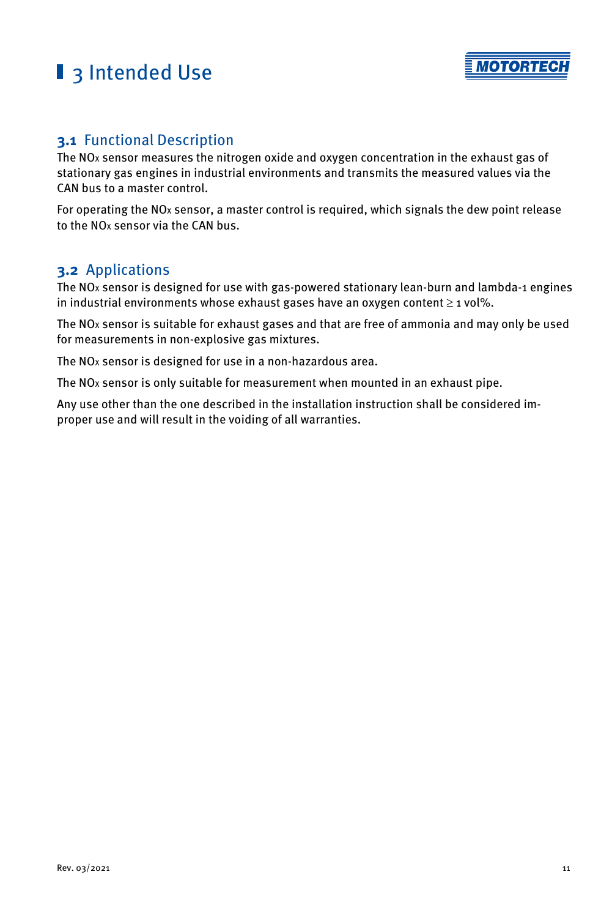# <span id="page-10-0"></span>**3** Intended Use

### <span id="page-10-1"></span>**3.1** Functional Description

The NO<sub>x</sub> sensor measures the nitrogen oxide and oxygen concentration in the exhaust gas of stationary gas engines in industrial environments and transmits the measured values via the CAN bus to a master control.

For operating the NO<sub>x</sub> sensor, a master control is required, which signals the dew point release to the NO<sub>x</sub> sensor via the CAN bus.

## <span id="page-10-2"></span>**3.2** Applications

The NO<sub>x</sub> sensor is designed for use with gas-powered stationary lean-burn and lambda-1 engines in industrial environments whose exhaust gases have an oxygen content  $\geq 1$  vol%.

The NO<sub>x</sub> sensor is suitable for exhaust gases and that are free of ammonia and may only be used for measurements in non-explosive gas mixtures.

The NO<sub>x</sub> sensor is designed for use in a non-hazardous area.

The NO<sub>x</sub> sensor is only suitable for measurement when mounted in an exhaust pipe.

Any use other than the one described in the installation instruction shall be considered improper use and will result in the voiding of all warranties.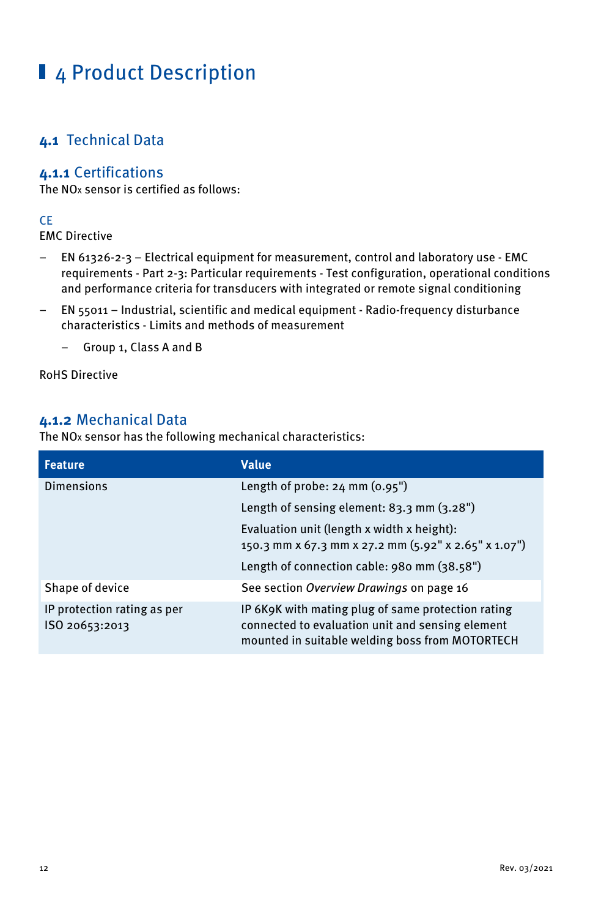# <span id="page-11-1"></span><span id="page-11-0"></span>**4.1** Technical Data

## <span id="page-11-2"></span>**4.1.1** Certifications

The NO<sub>x</sub> sensor is certified as follows:

### **CE**

EMC Directive

- EN 61326-2-3 Electrical equipment for measurement, control and laboratory use EMC requirements - Part 2-3: Particular requirements - Test configuration, operational conditions and performance criteria for transducers with integrated or remote signal conditioning
- EN 55011 Industrial, scientific and medical equipment Radio-frequency disturbance characteristics - Limits and methods of measurement
	- Group 1, Class A and B

RoHS Directive

### <span id="page-11-3"></span>**4.1.2** Mechanical Data

The NO<sub>x</sub> sensor has the following mechanical characteristics:

| <b>Feature</b>                                | <b>Value</b>                                                                                                                                              |
|-----------------------------------------------|-----------------------------------------------------------------------------------------------------------------------------------------------------------|
| <b>Dimensions</b>                             | Length of probe: $24 \text{ mm} (0.95")$                                                                                                                  |
|                                               | Length of sensing element: $83.3$ mm $(3.28)$                                                                                                             |
|                                               | Evaluation unit (length x width x height):<br>150.3 mm x 67.3 mm x 27.2 mm (5.92" x 2.65" x 1.07")                                                        |
|                                               | Length of connection cable: $980$ mm $(38.58")$                                                                                                           |
| Shape of device                               | See section Overview Drawings on page 16                                                                                                                  |
| IP protection rating as per<br>ISO 20653:2013 | IP 6K9K with mating plug of same protection rating<br>connected to evaluation unit and sensing element<br>mounted in suitable welding boss from MOTORTECH |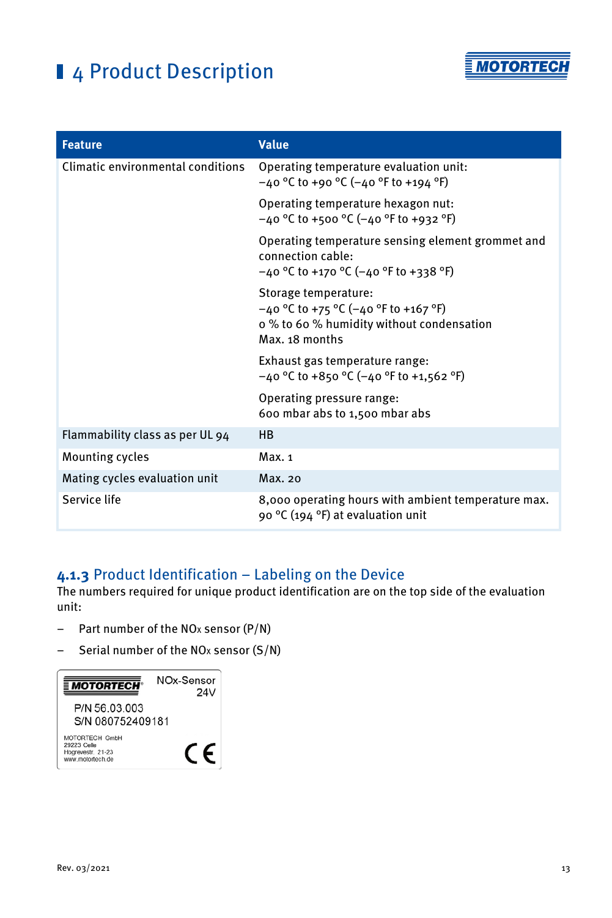

| <b>Feature</b>                    | <b>Value</b>                                                                                                                  |
|-----------------------------------|-------------------------------------------------------------------------------------------------------------------------------|
| Climatic environmental conditions | Operating temperature evaluation unit:<br>$-40$ °C to +90 °C (-40 °F to +194 °F)                                              |
|                                   | Operating temperature hexagon nut:<br>$-40$ °C to +500 °C (-40 °F to +932 °F)                                                 |
|                                   | Operating temperature sensing element grommet and<br>connection cable:<br>$-40$ °C to +170 °C (-40 °F to +338 °F)             |
|                                   | Storage temperature:<br>$-40$ °C to +75 °C (-40 °F to +167 °F)<br>o % to 60 % humidity without condensation<br>Max. 18 months |
|                                   | Exhaust gas temperature range:<br>$-40$ °C to +850 °C (-40 °F to +1,562 °F)                                                   |
|                                   | Operating pressure range:<br>600 mbar abs to 1,500 mbar abs                                                                   |
| Flammability class as per UL 94   | HB                                                                                                                            |
| Mounting cycles                   | Max. 1                                                                                                                        |
| Mating cycles evaluation unit     | Max. 20                                                                                                                       |
| Service life                      | 8,000 operating hours with ambient temperature max.<br>90 °C (194 °F) at evaluation unit                                      |

## <span id="page-12-0"></span>**4.1.3** Product Identification – Labeling on the Device

The numbers required for unique product identification are on the top side of the evaluation unit:

- $-$  Part number of the NO<sub>x</sub> sensor (P/N)
- $-$  Serial number of the NO<sub>x</sub> sensor (S/N)

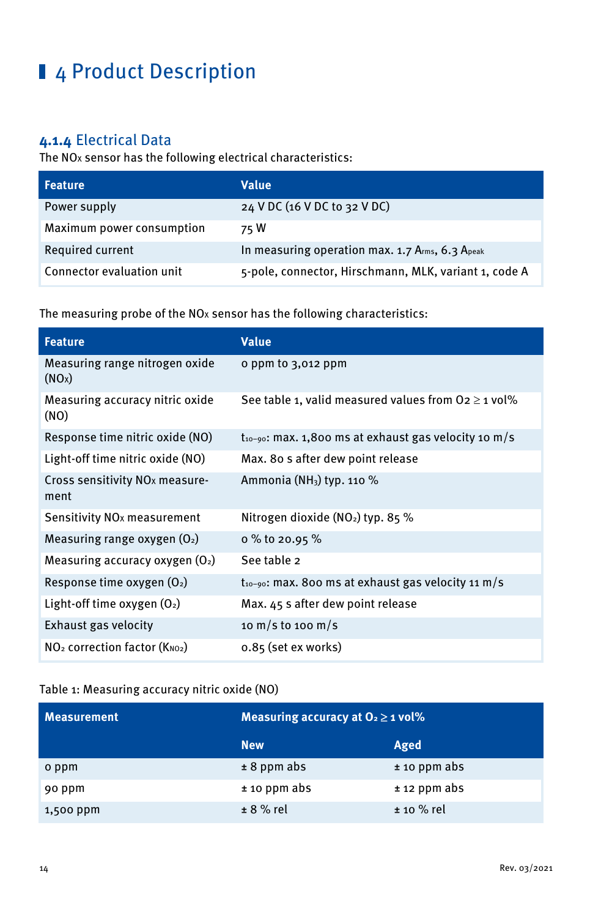# <span id="page-13-0"></span>**4.1.4** Electrical Data

The NO<sub>x</sub> sensor has the following electrical characteristics:

| <b>Feature</b>            | Value                                                 |
|---------------------------|-------------------------------------------------------|
| Power supply              | 24 V DC (16 V DC to 32 V DC)                          |
| Maximum power consumption | 75 W                                                  |
| Required current          | In measuring operation max. 1.7 Arms, 6.3 Apeak       |
| Connector evaluation unit | 5-pole, connector, Hirschmann, MLK, variant 1, code A |

The measuring probe of the NO<sub>x</sub> sensor has the following characteristics:

| <b>Feature</b>                                        | <b>Value</b>                                               |
|-------------------------------------------------------|------------------------------------------------------------|
| Measuring range nitrogen oxide<br>(NOx)               | $o$ ppm to $3,012$ ppm                                     |
| Measuring accuracy nitric oxide<br>(NO)               | See table 1, valid measured values from $02 \geq 1$ vol%   |
| Response time nitric oxide (NO)                       | $t_{10-90}$ : max. 1,800 ms at exhaust gas velocity 10 m/s |
| Light-off time nitric oxide (NO)                      | Max. 80 s after dew point release                          |
| Cross sensitivity NO <sub>x</sub> measure-<br>ment    | Ammonia ( $NH3$ ) typ. 110 %                               |
| Sensitivity NO <sub>x</sub> measurement               | Nitrogen dioxide ( $NO2$ ) typ. 85 %                       |
| Measuring range oxygen $(0_2)$                        | $0\%$ to 20.95 $\%$                                        |
| Measuring accuracy oxygen $(02)$                      | See table 2                                                |
| Response time oxygen (O <sub>2</sub> )                | $t_{10-90}$ : max. 800 ms at exhaust gas velocity 11 m/s   |
| Light-off time oxygen $(O_2)$                         | Max. 45 s after dew point release                          |
| Exhaust gas velocity                                  | 10 m/s to 100 m/s                                          |
| NO <sub>2</sub> correction factor (K <sub>NO2</sub> ) | 0.85 (set ex works)                                        |

### Table 1: Measuring accuracy nitric oxide (NO)

| <b>Measurement</b> | Measuring accuracy at $O_2 \geq 1$ vol% |                |
|--------------------|-----------------------------------------|----------------|
|                    | <b>New</b>                              | Aged           |
| o ppm              | $± 8$ ppm abs                           | $± 10$ ppm abs |
| 90 ppm             | $± 10$ ppm abs                          | $± 12$ ppm abs |
| 1,500 ppm          | $± 8%$ rel                              | $± 10 \%$ rel  |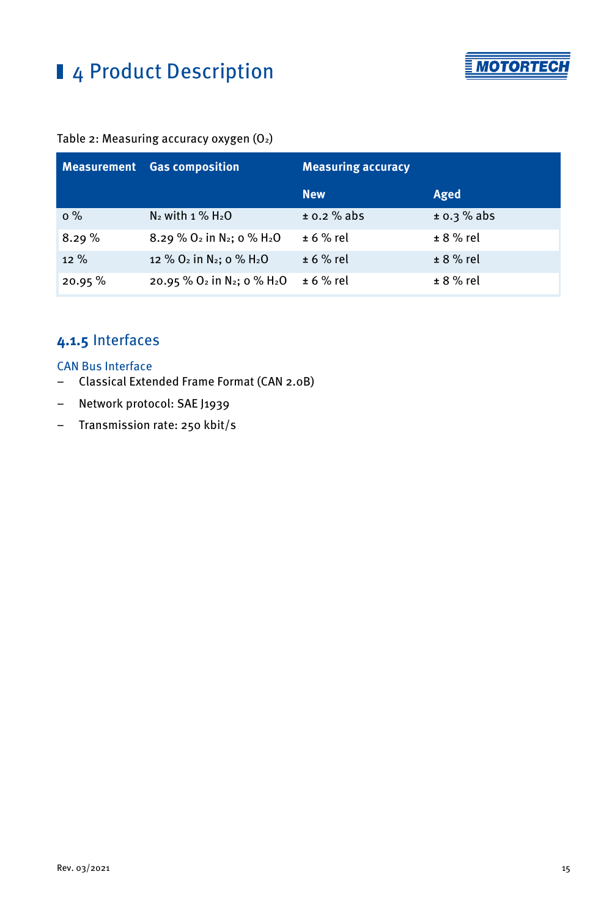

#### Table 2: Measuring accuracy oxygen (O<sub>2</sub>)

|           | <b>Measurement</b> Gas composition                           | <b>Measuring accuracy</b> |                 |
|-----------|--------------------------------------------------------------|---------------------------|-----------------|
|           |                                                              | <b>New</b>                | Aged            |
| $0\%$     | $N_2$ with 1 % $H_2O$                                        | $\pm$ 0.2 % abs           | $\pm$ 0.3 % abs |
| 8.29%     | 8.29 % $O_2$ in N <sub>2</sub> ; o % H <sub>2</sub> O        | $± 6%$ rel                | $± 8%$ rel      |
| $12\%$    | 12 % O <sub>2</sub> in N <sub>2</sub> ; o % H <sub>2</sub> O | $± 6%$ rel                | $± 8%$ rel      |
| $20.95\%$ | 20.95 % $O_2$ in N <sub>2</sub> ; 0 % H <sub>2</sub> O       | $± 6%$ rel                | $± 8%$ rel      |

# <span id="page-14-0"></span>**4.1.5** Interfaces

### CAN Bus Interface

- Classical Extended Frame Format (CAN 2.0B)
- Network protocol: SAE J1939
- Transmission rate: 250 kbit/s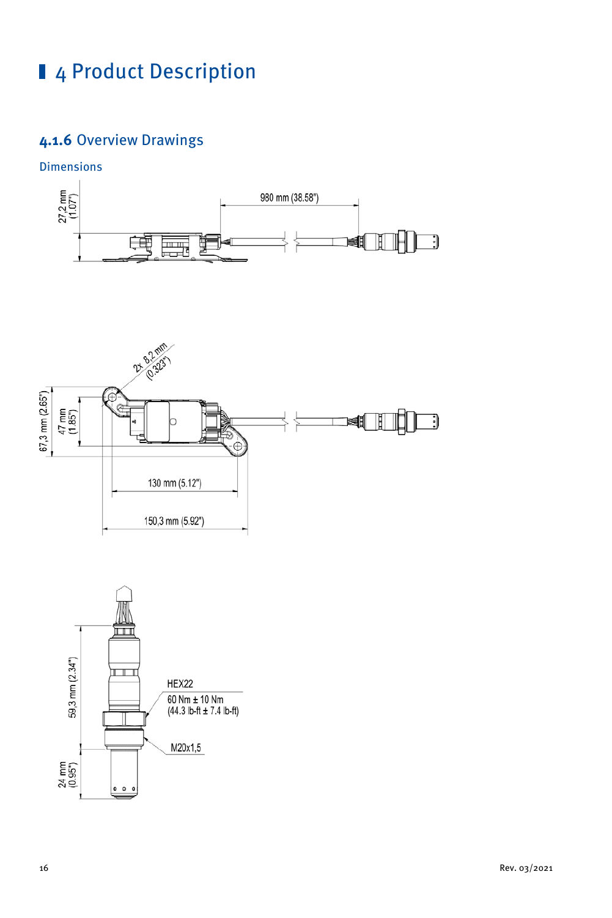# <span id="page-15-0"></span>**4.1.6** Overview Drawings

### Dimensions





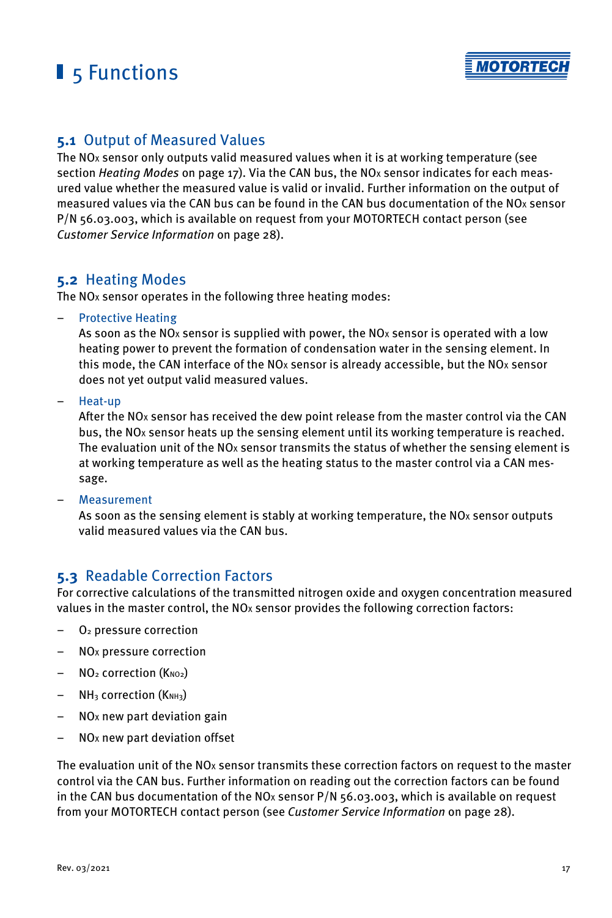<span id="page-16-0"></span>



### <span id="page-16-1"></span>**5.1** Output of Measured Values

The NO<sub>x</sub> sensor only outputs valid measured values when it is at working temperature (see section Heating Modes on pag[e 17\)](#page-16-2). Via the CAN bus, the NO<sub>x</sub> sensor indicates for each measured value whether the measured value is valid or invalid. Further information on the output of measured values via the CAN bus can be found in the CAN bus documentation of the NO<sub>X</sub> sensor P/N 56.03.003, which is available on request from your MOTORTECH contact person (see Customer Service Information on pag[e 28\).](#page-27-3)

### <span id="page-16-2"></span>**5.2** Heating Modes

The NO<sub>x</sub> sensor operates in the following three heating modes:

– Protective Heating

As soon as the NO<sub>x</sub> sensor is supplied with power, the NO<sub>x</sub> sensor is operated with a low heating power to prevent the formation of condensation water in the sensing element. In this mode, the CAN interface of the NO<sub>x</sub> sensor is already accessible, but the NO<sub>x</sub> sensor does not yet output valid measured values.

– Heat-up

After the NO<sub>x</sub> sensor has received the dew point release from the master control via the CAN bus, the NO<sub>x</sub> sensor heats up the sensing element until its working temperature is reached. The evaluation unit of the NO<sub>x</sub> sensor transmits the status of whether the sensing element is at working temperature as well as the heating status to the master control via a CAN message.

**Measurement** 

As soon as the sensing element is stably at working temperature, the NO<sub>x</sub> sensor outputs valid measured values via the CAN bus.

### <span id="page-16-3"></span>**5.3** Readable Correction Factors

For corrective calculations of the transmitted nitrogen oxide and oxygen concentration measured values in the master control, the NO<sub>x</sub> sensor provides the following correction factors:

- O2 pressure correction
- NOX pressure correction
- NO2 correction (KNO2)
- NH<sub>3</sub> correction (KNH<sub>3</sub>)
- $NOx$  new part deviation gain
- NO<sub>x</sub> new part deviation offset

The evaluation unit of the  $NQx$  sensor transmits these correction factors on request to the master control via the CAN bus. Further information on reading out the correction factors can be found in the CAN bus documentation of the NO<sub>x</sub> sensor  $P/N$  56.03.003, which is available on request from your MOTORTECH contact person (see Customer Service Information on pag[e 28\).](#page-27-3)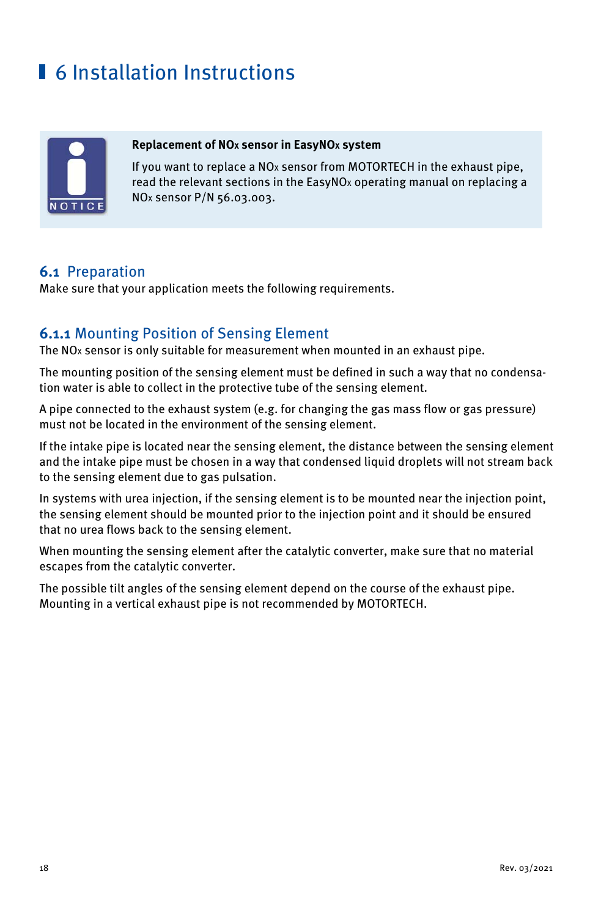<span id="page-17-0"></span>

#### **Replacement of NOX sensor in EasyNOX system**

If you want to replace a  $NOx$  sensor from MOTORTECH in the exhaust pipe, read the relevant sections in the EasyNO<sub>x</sub> operating manual on replacing a NOX sensor P/N 56.03.003.

### <span id="page-17-1"></span>**6.1** Preparation

Make sure that your application meets the following requirements.

### <span id="page-17-2"></span>**6.1.1** Mounting Position of Sensing Element

The NO<sub>x</sub> sensor is only suitable for measurement when mounted in an exhaust pipe.

The mounting position of the sensing element must be defined in such a way that no condensation water is able to collect in the protective tube of the sensing element.

A pipe connected to the exhaust system (e.g. for changing the gas mass flow or gas pressure) must not be located in the environment of the sensing element.

If the intake pipe is located near the sensing element, the distance between the sensing element and the intake pipe must be chosen in a way that condensed liquid droplets will not stream back to the sensing element due to gas pulsation.

In systems with urea injection, if the sensing element is to be mounted near the injection point, the sensing element should be mounted prior to the injection point and it should be ensured that no urea flows back to the sensing element.

When mounting the sensing element after the catalytic converter, make sure that no material escapes from the catalytic converter.

The possible tilt angles of the sensing element depend on the course of the exhaust pipe. Mounting in a vertical exhaust pipe is not recommended by MOTORTECH.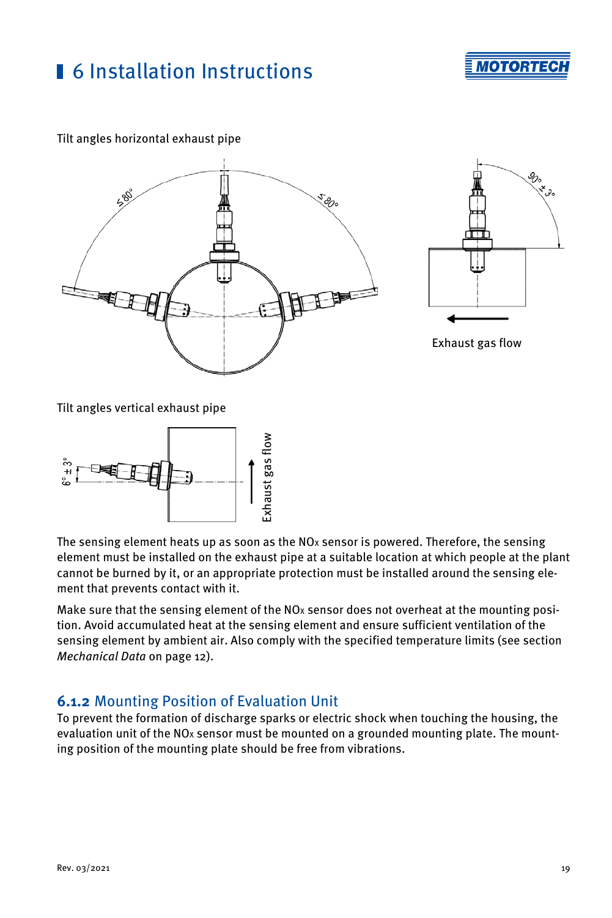

Tilt angles horizontal exhaust pipe





Exhaust gas flow

Tilt angles vertical exhaust pipe



The sensing element heats up as soon as the NO<sub>x</sub> sensor is powered. Therefore, the sensing element must be installed on the exhaust pipe at a suitable location at which people at the plant cannot be burned by it, or an appropriate protection must be installed around the sensing element that prevents contact with it.

Make sure that the sensing element of the NO<sub>x</sub> sensor does not overheat at the mounting position. Avoid accumulated heat at the sensing element and ensure sufficient ventilation of the sensing element by ambient air. Also comply with the specified temperature limits (see section Mechanical Data on pag[e 12\)](#page-11-3).

## <span id="page-18-0"></span>**6.1.2** Mounting Position of Evaluation Unit

To prevent the formation of discharge sparks or electric shock when touching the housing, the evaluation unit of the NO<sub>x</sub> sensor must be mounted on a grounded mounting plate. The mounting position of the mounting plate should be free from vibrations.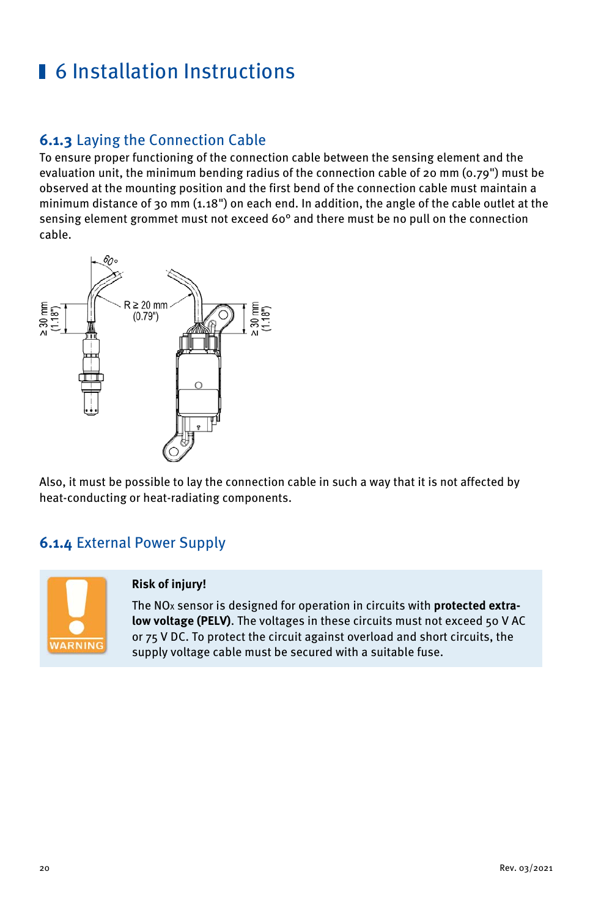# <span id="page-19-0"></span>**6.1.3** Laying the Connection Cable

To ensure proper functioning of the connection cable between the sensing element and the evaluation unit, the minimum bending radius of the connection cable of 20 mm (0.79") must be observed at the mounting position and the first bend of the connection cable must maintain a minimum distance of 30 mm (1.18") on each end. In addition, the angle of the cable outlet at the sensing element grommet must not exceed 60° and there must be no pull on the connection cable.



Also, it must be possible to lay the connection cable in such a way that it is not affected by heat-conducting or heat-radiating components.

## <span id="page-19-1"></span>**6.1.4** External Power Supply



#### **Risk of injury!**

The NOX sensor is designed for operation in circuits with **protected extralow voltage (PELV)**. The voltages in these circuits must not exceed 50 V AC or 75 V DC. To protect the circuit against overload and short circuits, the supply voltage cable must be secured with a suitable fuse.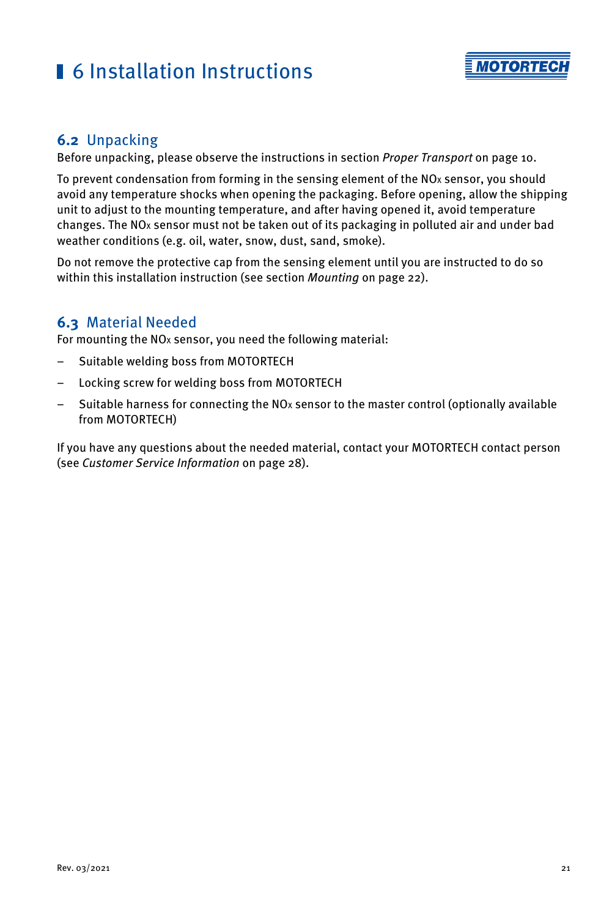

# <span id="page-20-0"></span>**6.2** Unpacking

Before unpacking, please observe the instructions in section Proper Transport on pag[e 10.](#page-9-1)

To prevent condensation from forming in the sensing element of the  $NOx$  sensor, you should avoid any temperature shocks when opening the packaging. Before opening, allow the shipping unit to adjust to the mounting temperature, and after having opened it, avoid temperature changes. The NOX sensor must not be taken out of its packaging in polluted air and under bad weather conditions (e.g. oil, water, snow, dust, sand, smoke).

Do not remove the protective cap from the sensing element until you are instructed to do so within this installation instruction (see section Mounting on pag[e 22\).](#page-21-0)

## <span id="page-20-1"></span>**6.3** Material Needed

For mounting the NO<sub>x</sub> sensor, you need the following material:

- Suitable welding boss from MOTORTECH
- Locking screw for welding boss from MOTORTECH
- Suitable harness for connecting the NOX sensor to the master control (optionally available from MOTORTECH)

If you have any questions about the needed material, contact your MOTORTECH contact person (see Customer Service Information on page [28\)](#page-27-3).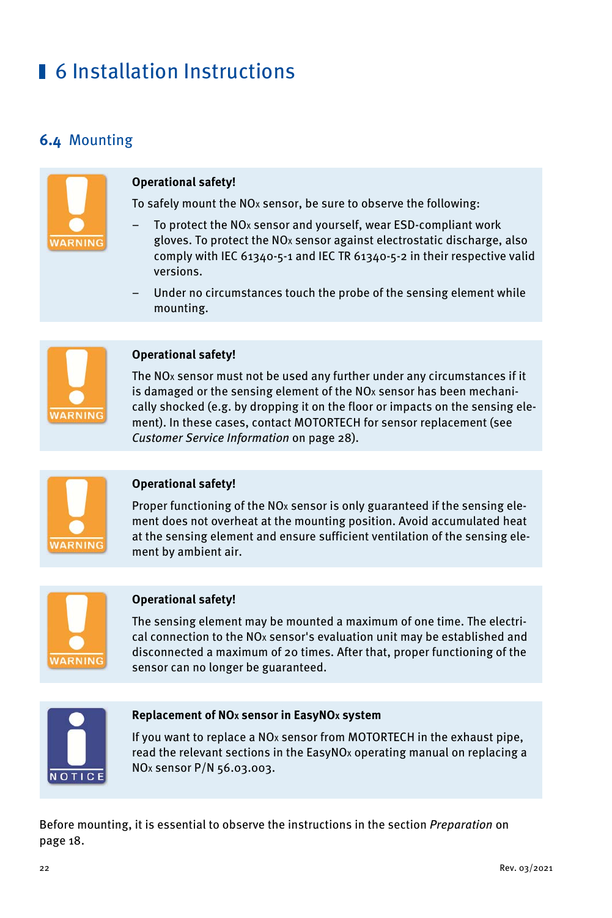# <span id="page-21-0"></span>**6.4** Mounting



#### **Operational safety!**

To safely mount the NO<sub>x</sub> sensor, be sure to observe the following:

- To protect the NO<sub>x</sub> sensor and yourself, wear ESD-compliant work gloves. To protect the NOX sensor against electrostatic discharge, also comply with IEC 61340-5-1 and IEC TR 61340-5-2 in their respective valid versions.
- Under no circumstances touch the probe of the sensing element while mounting.



#### **Operational safety!**

The NO<sub>x</sub> sensor must not be used any further under any circumstances if it is damaged or the sensing element of the NO<sub>x</sub> sensor has been mechanically shocked (e.g. by dropping it on the floor or impacts on the sensing element). In these cases, contact MOTORTECH for sensor replacement (see Customer Service Information on pag[e 28\)](#page-27-3).



### **Operational safety!**

Proper functioning of the NO<sub>x</sub> sensor is only guaranteed if the sensing element does not overheat at the mounting position. Avoid accumulated heat at the sensing element and ensure sufficient ventilation of the sensing element by ambient air.



### **Operational safety!**

The sensing element may be mounted a maximum of one time. The electrical connection to the NOX sensor's evaluation unit may be established and disconnected a maximum of 20 times. After that, proper functioning of the sensor can no longer be guaranteed.



#### **Replacement of NOX sensor in EasyNOX system**

If you want to replace a  $NOx$  sensor from MOTORTECH in the exhaust pipe, read the relevant sections in the EasyNO<sub>x</sub> operating manual on replacing a NOX sensor P/N 56.03.003.

Before mounting, it is essential to observe the instructions in the section Preparation on pag[e 18.](#page-17-1)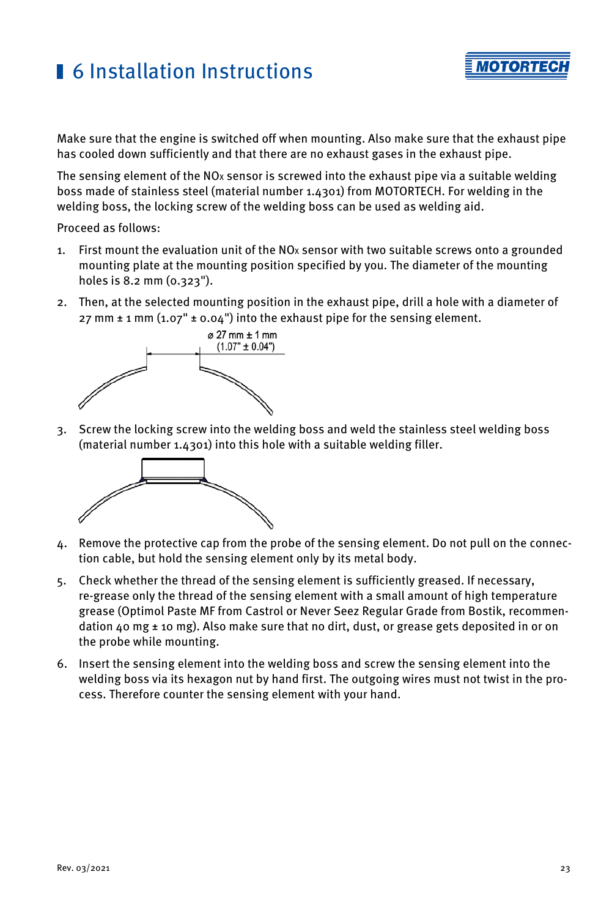

Make sure that the engine is switched off when mounting. Also make sure that the exhaust pipe has cooled down sufficiently and that there are no exhaust gases in the exhaust pipe.

The sensing element of the NO<sub>x</sub> sensor is screwed into the exhaust pipe via a suitable welding boss made of stainless steel (material number 1.4301) from MOTORTECH. For welding in the welding boss, the locking screw of the welding boss can be used as welding aid.

Proceed as follows:

- 1. First mount the evaluation unit of the NO<sub>x</sub> sensor with two suitable screws onto a grounded mounting plate at the mounting position specified by you. The diameter of the mounting holes is 8.2 mm (0.323").
- 2. Then, at the selected mounting position in the exhaust pipe, drill a hole with a diameter of  $27$  mm  $\pm$  1 mm (1.07"  $\pm$  0.04") into the exhaust pipe for the sensing element.



3. Screw the locking screw into the welding boss and weld the stainless steel welding boss (material number 1.4301) into this hole with a suitable welding filler.



- 4. Remove the protective cap from the probe of the sensing element. Do not pull on the connection cable, but hold the sensing element only by its metal body.
- 5. Check whether the thread of the sensing element is sufficiently greased. If necessary, re-grease only the thread of the sensing element with a small amount of high temperature grease (Optimol Paste MF from Castrol or Never Seez Regular Grade from Bostik, recommendation 40 mg  $\pm$  10 mg). Also make sure that no dirt, dust, or grease gets deposited in or on the probe while mounting.
- 6. Insert the sensing element into the welding boss and screw the sensing element into the welding boss via its hexagon nut by hand first. The outgoing wires must not twist in the process. Therefore counter the sensing element with your hand.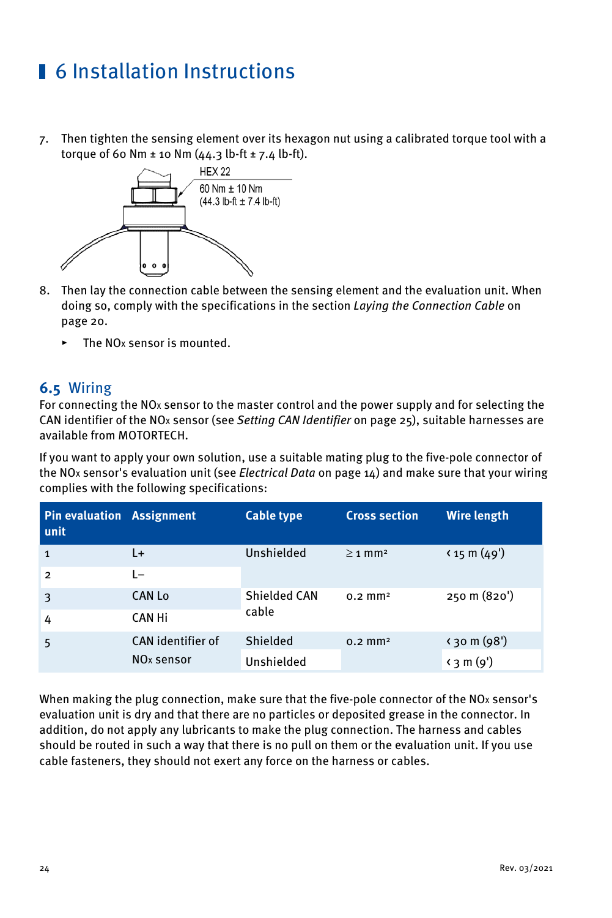7. Then tighten the sensing element over its hexagon nut using a calibrated torque tool with a torque of 60 Nm  $\pm$  10 Nm (44.3 lb-ft  $\pm$  7.4 lb-ft).



- 8. Then lay the connection cable between the sensing element and the evaluation unit. When doing so, comply with the specifications in the section Laying the Connection Cable on pag[e 20.](#page-19-0)
	- $\triangleright$  The NO<sub>x</sub> sensor is mounted.

### <span id="page-23-0"></span>**6.5** Wiring

For connecting the NO<sub>x</sub> sensor to the master control and the power supply and for selecting the CAN identifier of the NO<sub>x</sub> sensor (see Setting CAN Identifier on pag[e 25\),](#page-24-0) suitable harnesses are available from MOTORTECH.

If you want to apply your own solution, use a suitable mating plug to the five-pole connector of the NO<sub>x</sub> sensor's evaluation unit (see *Electrical Data* on page  $14$ ) and make sure that your wiring complies with the following specifications:

| <b>Pin evaluation</b> Assignment<br>unit |                                             | Cable type   | <b>Cross section</b> | <b>Wire length</b>                 |
|------------------------------------------|---------------------------------------------|--------------|----------------------|------------------------------------|
| $\mathbf{1}$                             | L+                                          | Unshielded   | $>1$ mm <sup>2</sup> | $(15 \text{ m} (49))$              |
| $\overline{2}$                           | I –                                         |              |                      |                                    |
| 3                                        | <b>CAN Lo</b>                               | Shielded CAN | $0.2 \, \text{mm}^2$ | 250 m (820 <sup>'</sup> )          |
| 4                                        | CAN Hi                                      | cable        |                      |                                    |
| 5                                        | CAN identifier of<br>NO <sub>x</sub> sensor | Shielded     | $0.2 \, \text{mm}^2$ | $(30 \text{ m} (98))$              |
|                                          |                                             | Unshielded   |                      | $\langle 3 \text{ m } (9) \rangle$ |

When making the plug connection, make sure that the five-pole connector of the  $NOx$  sensor's evaluation unit is dry and that there are no particles or deposited grease in the connector. In addition, do not apply any lubricants to make the plug connection. The harness and cables should be routed in such a way that there is no pull on them or the evaluation unit. If you use cable fasteners, they should not exert any force on the harness or cables.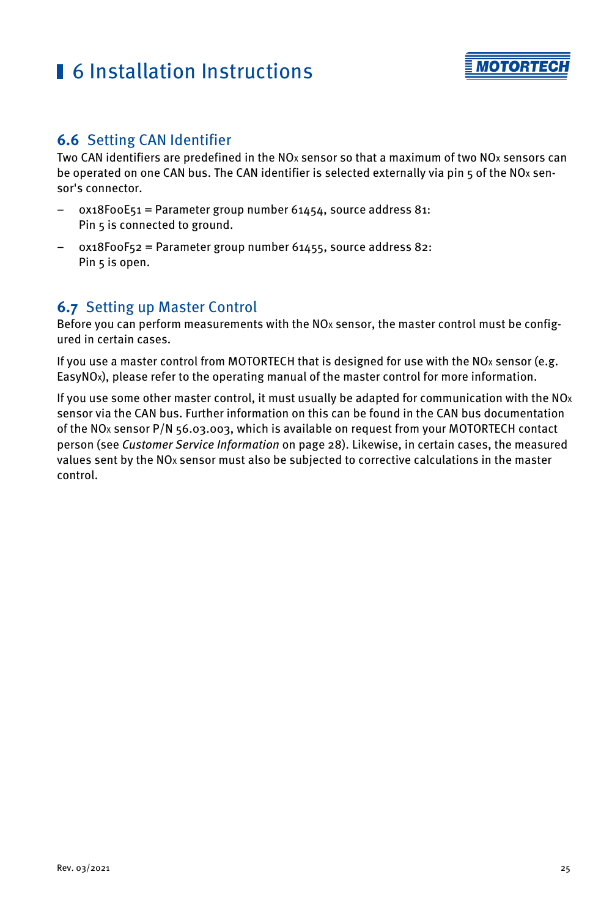

### <span id="page-24-0"></span>**6.6** Setting CAN Identifier

Two CAN identifiers are predefined in the NO<sub>x</sub> sensor so that a maximum of two NO<sub>x</sub> sensors can be operated on one CAN bus. The CAN identifier is selected externally via pin 5 of the NO<sub>x</sub> sensor's connector.

- 0x18F00E51 = Parameter group number 61454, source address 81: Pin 5 is connected to ground.
- 0x18F00F52 = Parameter group number 61455, source address 82: Pin 5 is open.

### <span id="page-24-1"></span>**6.7** Setting up Master Control

Before you can perform measurements with the NO<sub>x</sub> sensor, the master control must be configured in certain cases.

If you use a master control from MOTORTECH that is designed for use with the NO $x$  sensor (e.g. EasyNO<sub>x</sub>), please refer to the operating manual of the master control for more information.

If you use some other master control, it must usually be adapted for communication with the  $NO<sub>X</sub>$ sensor via the CAN bus. Further information on this can be found in the CAN bus documentation of the NOX sensor P/N 56.03.003, which is available on request from your MOTORTECH contact person (see Customer Service Information on pag[e 28\)](#page-27-3). Likewise, in certain cases, the measured values sent by the NO<sub>x</sub> sensor must also be subjected to corrective calculations in the master control.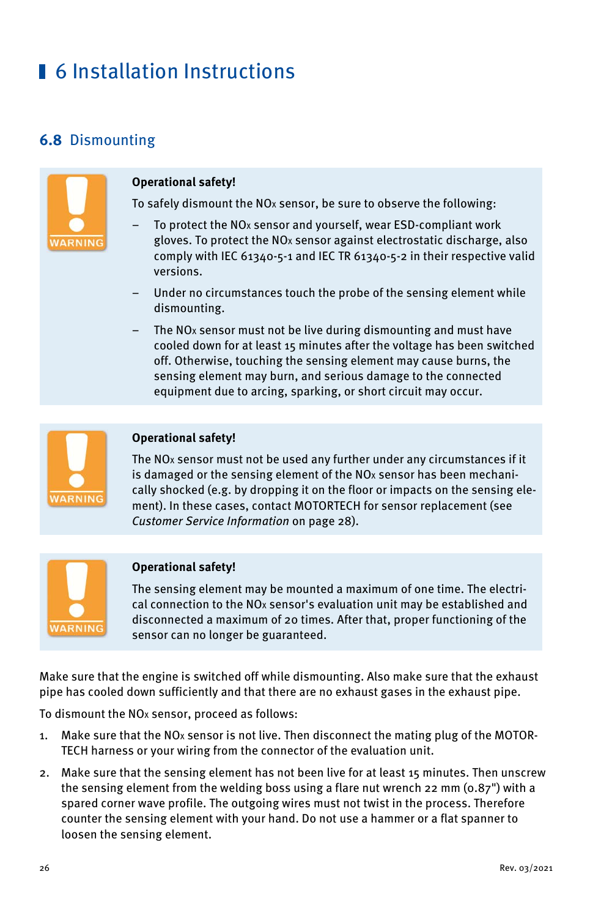# <span id="page-25-0"></span>**6.8** Dismounting



#### **Operational safety!**

To safely dismount the NO<sub>x</sub> sensor, be sure to observe the following:

- To protect the NO<sub>x</sub> sensor and yourself, wear ESD-compliant work gloves. To protect the NOX sensor against electrostatic discharge, also comply with IEC 61340-5-1 and IEC TR 61340-5-2 in their respective valid versions.
- Under no circumstances touch the probe of the sensing element while dismounting.
- The NO<sub>x</sub> sensor must not be live during dismounting and must have cooled down for at least 15 minutes after the voltage has been switched off. Otherwise, touching the sensing element may cause burns, the sensing element may burn, and serious damage to the connected equipment due to arcing, sparking, or short circuit may occur.



#### **Operational safety!**

The NO<sub>x</sub> sensor must not be used any further under any circumstances if it is damaged or the sensing element of the NO<sub>x</sub> sensor has been mechanically shocked (e.g. by dropping it on the floor or impacts on the sensing element). In these cases, contact MOTORTECH for sensor replacement (see Customer Service Information on pag[e 28\)](#page-27-3).



#### **Operational safety!**

The sensing element may be mounted a maximum of one time. The electrical connection to the NOX sensor's evaluation unit may be established and disconnected a maximum of 20 times. After that, proper functioning of the sensor can no longer be guaranteed.

Make sure that the engine is switched off while dismounting. Also make sure that the exhaust pipe has cooled down sufficiently and that there are no exhaust gases in the exhaust pipe.

To dismount the NO<sub>x</sub> sensor, proceed as follows:

- 1. Make sure that the NO<sub>x</sub> sensor is not live. Then disconnect the mating plug of the MOTOR-TECH harness or your wiring from the connector of the evaluation unit.
- 2. Make sure that the sensing element has not been live for at least 15 minutes. Then unscrew the sensing element from the welding boss using a flare nut wrench 22 mm (0.87") with a spared corner wave profile. The outgoing wires must not twist in the process. Therefore counter the sensing element with your hand. Do not use a hammer or a flat spanner to loosen the sensing element.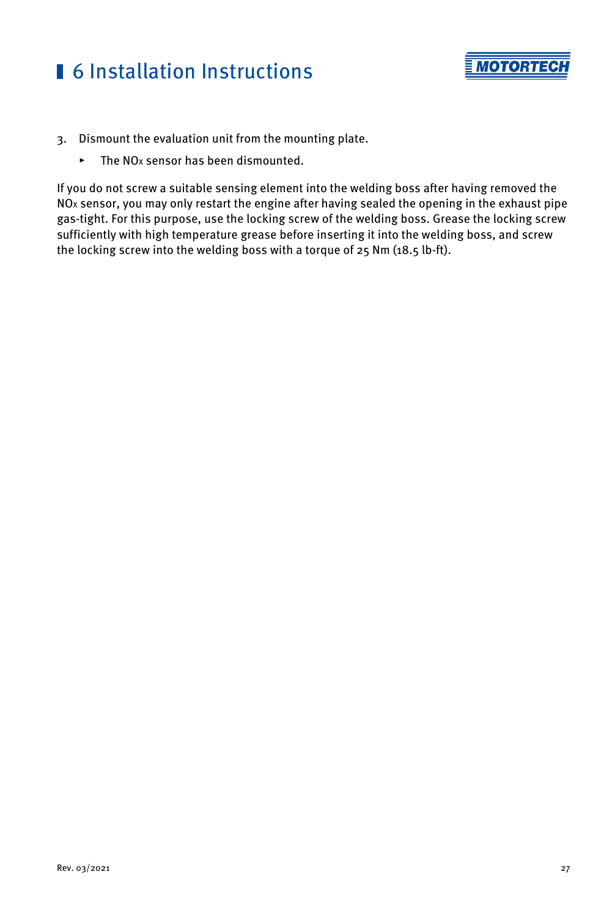

- 3. Dismount the evaluation unit from the mounting plate.
	- $\blacktriangleright$  The NO<sub>x</sub> sensor has been dismounted.

If you do not screw a suitable sensing element into the welding boss after having removed the NOX sensor, you may only restart the engine after having sealed the opening in the exhaust pipe gas-tight. For this purpose, use the locking screw of the welding boss. Grease the locking screw sufficiently with high temperature grease before inserting it into the welding boss, and screw the locking screw into the welding boss with a torque of 25 Nm (18.5 lb-ft).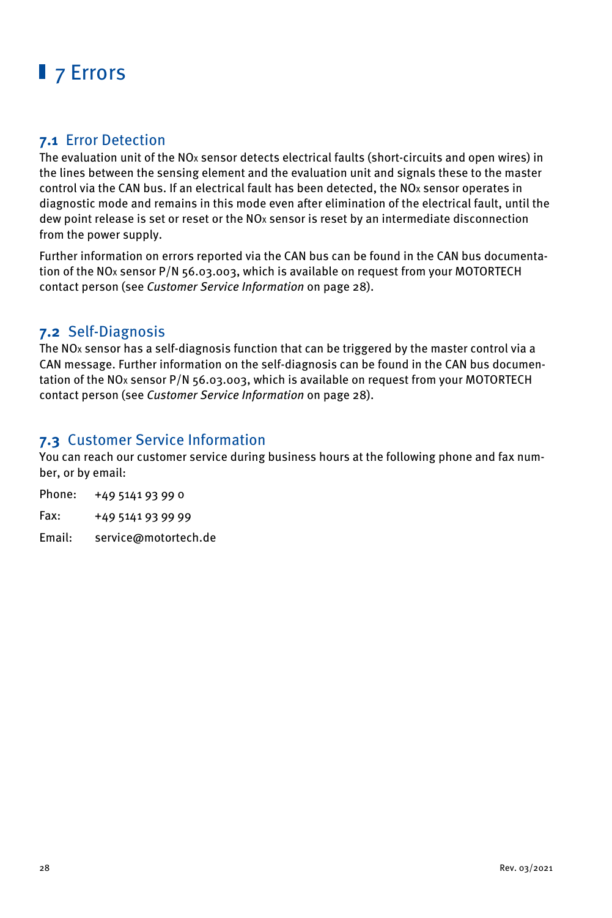<span id="page-27-0"></span>

### <span id="page-27-1"></span>**7.1** Error Detection

The evaluation unit of the NO<sub>X</sub> sensor detects electrical faults (short-circuits and open wires) in the lines between the sensing element and the evaluation unit and signals these to the master control via the CAN bus. If an electrical fault has been detected, the NO<sub>x</sub> sensor operates in diagnostic mode and remains in this mode even after elimination of the electrical fault, until the dew point release is set or reset or the NO<sub>x</sub> sensor is reset by an intermediate disconnection from the power supply.

Further information on errors reported via the CAN bus can be found in the CAN bus documentation of the NOX sensor P/N 56.03.003, which is available on request from your MOTORTECH contact person (see Customer Service Information on pag[e 28\)](#page-27-3).

### <span id="page-27-2"></span>**7.2** Self-Diagnosis

The NO<sub>x</sub> sensor has a self-diagnosis function that can be triggered by the master control via a CAN message. Further information on the self-diagnosis can be found in the CAN bus documentation of the NO<sub>x</sub> sensor P/N 56.03.003, which is available on request from your MOTORTECH contact person (see Customer Service Information on pag[e 28\)](#page-27-3).

### <span id="page-27-3"></span>**7.3** Customer Service Information

You can reach our customer service during business hours at the following phone and fax number, or by email:

| Phone: | +49 5141 93 99 0  |
|--------|-------------------|
| Fax:   | +49 5141 93 99 99 |

Email: service@motortech.de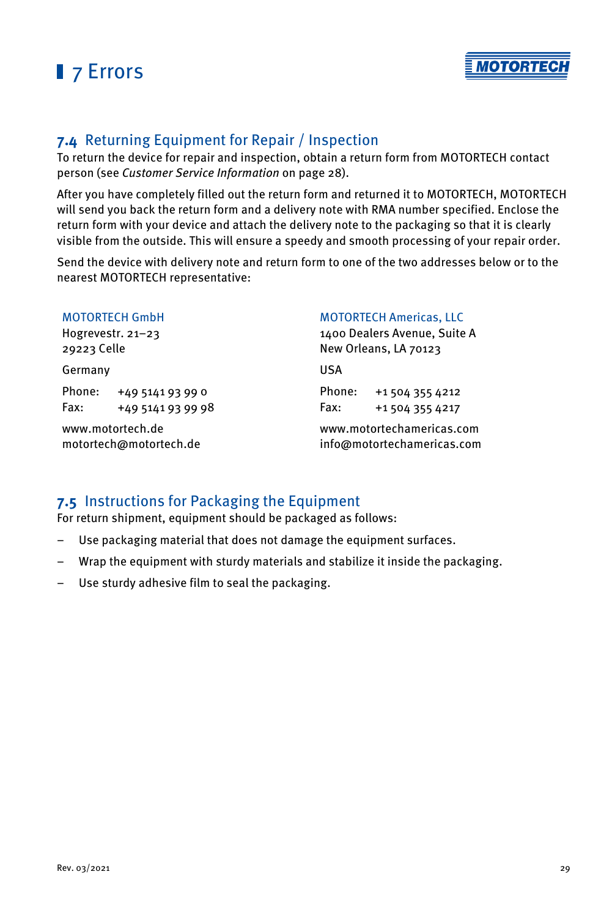



### <span id="page-28-0"></span>**7.4** Returning Equipment for Repair / Inspection

To return the device for repair and inspection, obtain a return form from MOTORTECH contact person (see Customer Service Information on pag[e 28\)](#page-27-3).

After you have completely filled out the return form and returned it to MOTORTECH, MOTORTECH will send you back the return form and a delivery note with RMA number specified. Enclose the return form with your device and attach the delivery note to the packaging so that it is clearly visible from the outside. This will ensure a speedy and smooth processing of your repair order.

Send the device with delivery note and return form to one of the two addresses below or to the nearest MOTORTECH representative:

#### MOTORTECH GmbH

Hogrevestr. 21–23 29223 Celle

Germany

Phone: +49 5141 93 99 0 Fax: +49 5141 93 99 98

www.motortech.de motortech@motortech.de

#### MOTORTECH Americas, LLC

1400 Dealers Avenue, Suite A New Orleans, LA 70123

USA

Phone: +1 504 355 4212 Fax: +1 504 355 4217

www.motortechamericas.com info@motortechamericas.com

### <span id="page-28-1"></span>**7.5** Instructions for Packaging the Equipment

For return shipment, equipment should be packaged as follows:

- Use packaging material that does not damage the equipment surfaces.
- Wrap the equipment with sturdy materials and stabilize it inside the packaging.
- Use sturdy adhesive film to seal the packaging.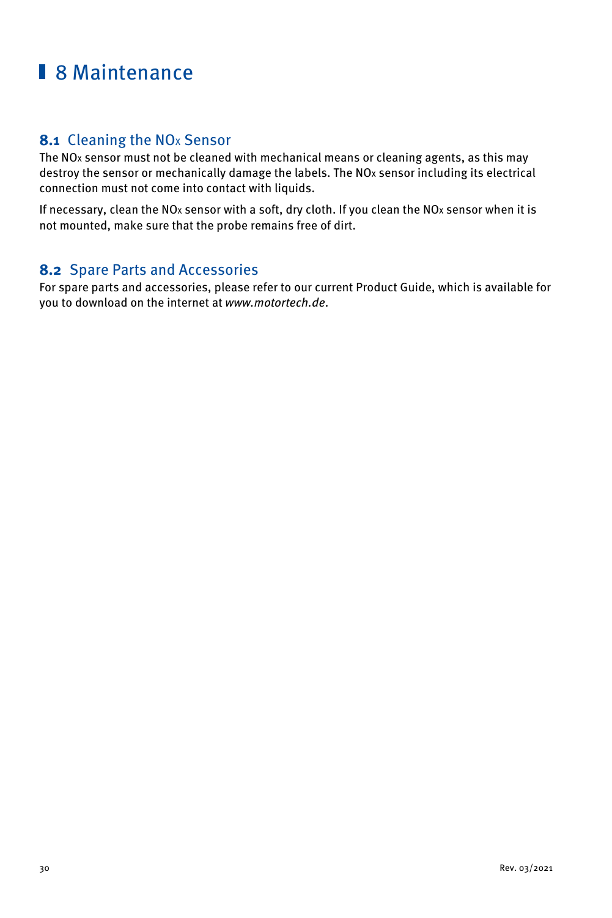# <span id="page-29-0"></span>8 Maintenance

### <span id="page-29-1"></span>**8.1** Cleaning the NO<sub>x</sub> Sensor

The NO<sub>x</sub> sensor must not be cleaned with mechanical means or cleaning agents, as this may destroy the sensor or mechanically damage the labels. The NO<sub>x</sub> sensor including its electrical connection must not come into contact with liquids.

If necessary, clean the NO<sub>x</sub> sensor with a soft, dry cloth. If you clean the NO<sub>x</sub> sensor when it is not mounted, make sure that the probe remains free of dirt.

### <span id="page-29-2"></span>**8.2** Spare Parts and Accessories

For spare parts and accessories, please refer to our current Product Guide, which is available for you to download on the internet at www.motortech.de.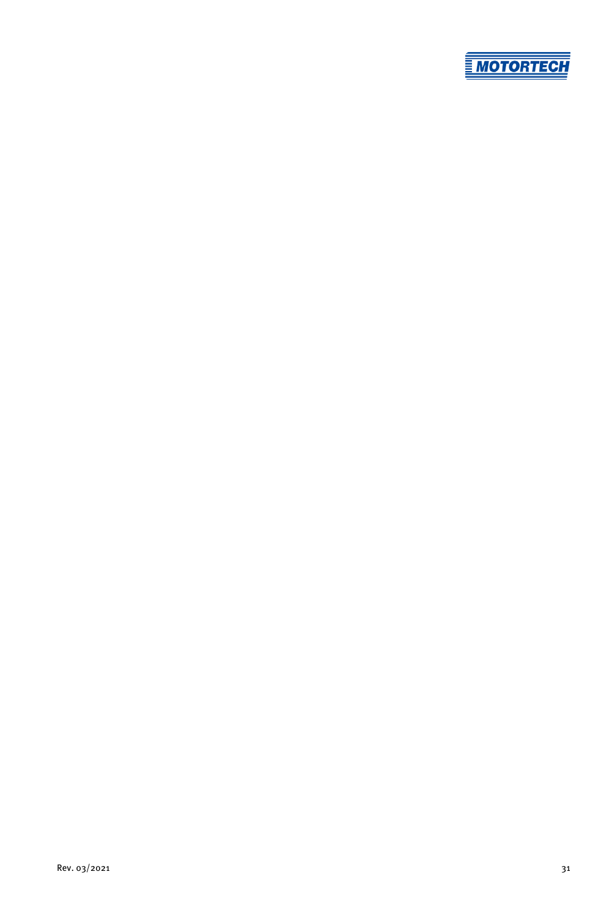